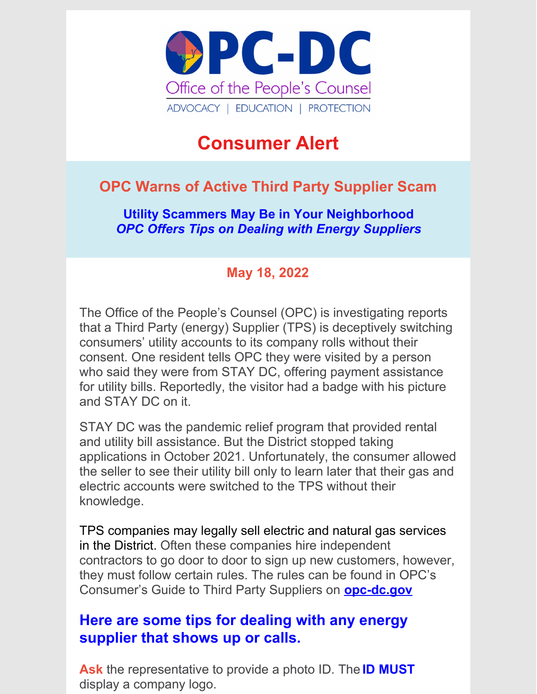

# **Consumer Alert**

## **OPC Warns of Active Third Party Supplier Scam**

**Utility Scammers May Be in Your Neighborhood** *OPC Offers Tips on Dealing with Energy Suppliers*

### **May 18, 2022**

The Office of the People's Counsel (OPC) is investigating reports that a Third Party (energy) Supplier (TPS) is deceptively switching consumers' utility accounts to its company rolls without their consent. One resident tells OPC they were visited by a person who said they were from STAY DC, offering payment assistance for utility bills. Reportedly, the visitor had a badge with his picture and STAY DC on it.

STAY DC was the pandemic relief program that provided rental and utility bill assistance. But the District stopped taking applications in October 2021. Unfortunately, the consumer allowed the seller to see their utility bill only to learn later that their gas and electric accounts were switched to the TPS without their knowledge.

TPS companies may legally sell electric and natural gas services in the District. Often these companies hire independent contractors to go door to door to sign up new customers, however, they must follow certain rules. The rules can be found in OPC's Consumer's Guide to Third Party Suppliers on **[opc-dc.gov](https://issuu.com/opcdc7/docs/tps_guide_3rd_party_suppliers_20oct2020_newcover_o)**

## **Here are some tips for dealing with any energy supplier that shows up or calls.**

**Ask** the representative to provide a photo ID. The **ID MUST** display a company logo.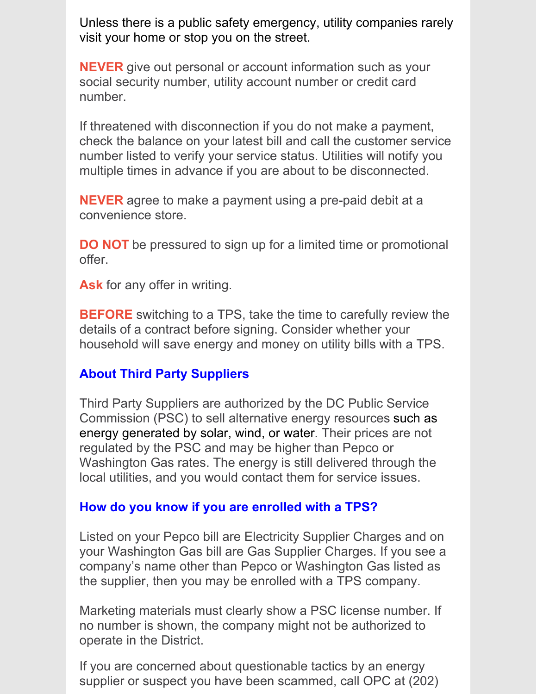Unless there is a public safety emergency, utility companies rarely visit your home or stop you on the street.

**NEVER** give out personal or account information such as your social security number, utility account number or credit card number.

If threatened with disconnection if you do not make a payment, check the balance on your latest bill and call the customer service number listed to verify your service status. Utilities will notify you multiple times in advance if you are about to be disconnected.

**NEVER** agree to make a payment using a pre-paid debit at a convenience store.

**DO NOT** be pressured to sign up for a limited time or promotional offer.

**Ask** for any offer in writing.

**BEFORE** switching to a TPS, take the time to carefully review the details of a contract before signing. Consider whether your household will save energy and money on utility bills with a TPS.

#### **About Third Party Suppliers**

Third Party Suppliers are authorized by the DC Public Service Commission (PSC) to sell alternative energy resources such as energy generated by solar, wind, or water. Their prices are not regulated by the PSC and may be higher than Pepco or Washington Gas rates. The energy is still delivered through the local utilities, and you would contact them for service issues.

#### **How do you know if you are enrolled with a TPS?**

Listed on your Pepco bill are Electricity Supplier Charges and on your Washington Gas bill are Gas Supplier Charges. If you see a company's name other than Pepco or Washington Gas listed as the supplier, then you may be enrolled with a TPS company.

Marketing materials must clearly show a PSC license number. If no number is shown, the company might not be authorized to operate in the District.

If you are concerned about questionable tactics by an energy supplier or suspect you have been scammed, call OPC at (202)